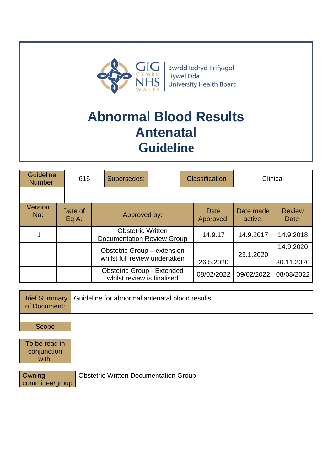

# **Abnormal Blood Results Antenatal Guideline**

| <b>Guideline</b><br>Number: |  | 615                | Supersedes:                                                     |  |                   | <b>Classification</b> |                         | Clinical   |
|-----------------------------|--|--------------------|-----------------------------------------------------------------|--|-------------------|-----------------------|-------------------------|------------|
|                             |  |                    |                                                                 |  |                   |                       |                         |            |
| Version<br>No:              |  | Date of<br>$EqA$ : | Approved by:                                                    |  | Date<br>Approved: | Date made<br>active:  | <b>Review</b><br>Date:  |            |
|                             |  |                    | <b>Obstetric Written</b><br><b>Documentation Review Group</b>   |  | 14.9.17           | 14.9.2017             | 14.9.2018               |            |
|                             |  |                    | Obstetric Group - extension<br>whilst full review undertaken    |  | 26.5.2020         | 23.1.2020             | 14.9.2020<br>30.11.2020 |            |
|                             |  |                    | <b>Obstetric Group - Extended</b><br>whilst review is finalised |  |                   | 08/02/2022            | 09/02/2022              | 08/08/2022 |

| of Document: | <b>Brief Summary Guideline for abnormal antenatal blood results</b> |
|--------------|---------------------------------------------------------------------|
|              |                                                                     |
| <b>Scope</b> |                                                                     |

| To be read in |  |  |
|---------------|--|--|
| conjunction   |  |  |
| with:         |  |  |

| Owning          | <b>Obstetric Written Documentation Group</b> |
|-----------------|----------------------------------------------|
| committee/group |                                              |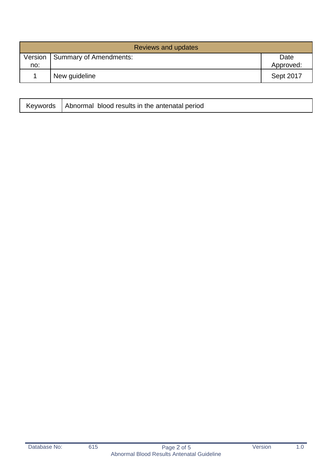|     | <b>Reviews and updates</b>       |                   |  |  |
|-----|----------------------------------|-------------------|--|--|
| no: | Version   Summary of Amendments: | Date<br>Approved: |  |  |
|     | New guideline                    | Sept 2017         |  |  |

|  | Keywords   Abnormal blood results in the antenatal period |  |
|--|-----------------------------------------------------------|--|
|--|-----------------------------------------------------------|--|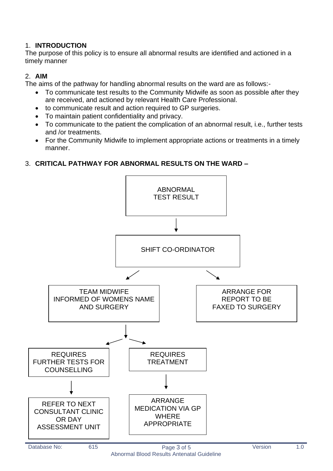#### 1. **INTRODUCTION**

The purpose of this policy is to ensure all abnormal results are identified and actioned in a timely manner

#### 2. **AIM**

The aims of the pathway for handling abnormal results on the ward are as follows:-

- To communicate test results to the Community Midwife as soon as possible after they are received, and actioned by relevant Health Care Professional.
- to communicate result and action required to GP surgeries.
- To maintain patient confidentiality and privacy.
- To communicate to the patient the complication of an abnormal result, i.e., further tests and /or treatments.
- For the Community Midwife to implement appropriate actions or treatments in a timely manner.

#### 3. **CRITICAL PATHWAY FOR ABNORMAL RESULTS ON THE WARD –**

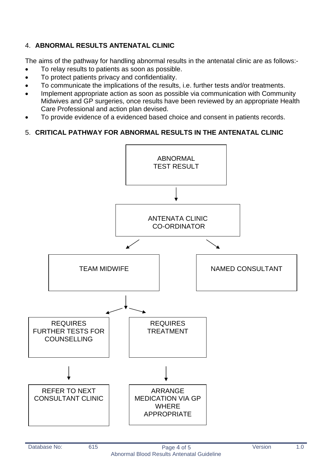## 4. **ABNORMAL RESULTS ANTENATAL CLINIC**

The aims of the pathway for handling abnormal results in the antenatal clinic are as follows:-

- To relay results to patients as soon as possible.
- To protect patients privacy and confidentiality.
- To communicate the implications of the results, i.e. further tests and/or treatments.
- Implement appropriate action as soon as possible via communication with Community Midwives and GP surgeries, once results have been reviewed by an appropriate Health Care Professional and action plan devised.
- To provide evidence of a evidenced based choice and consent in patients records.

### 5. **CRITICAL PATHWAY FOR ABNORMAL RESULTS IN THE ANTENATAL CLINIC**